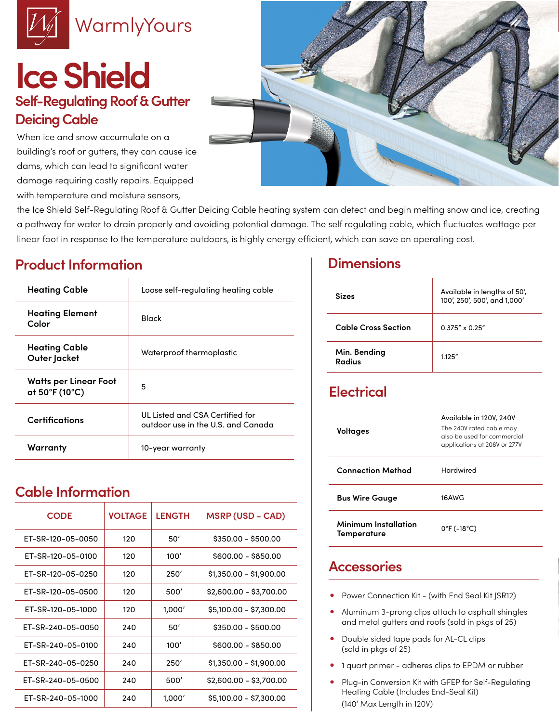

# WarmlyYours

## **Ice Shield Self-Regulating Roof & Gutter Deicing Cable**

When ice and snow accumulate on a building's roof or gutters, they can cause ice dams, which can lead to significant water damage requiring costly repairs. Equipped with temperature and moisture sensors,



the Ice Shield Self-Regulating Roof & Gutter Deicing Cable heating system can detect and begin melting snow and ice, creating a pathway for water to drain properly and avoiding potential damage. The self regulating cable, which fluctuates wattage per linear foot in response to the temperature outdoors, is highly energy efficient, which can save on operating cost.

#### **Product Information Dimensions**

| <b>Heating Cable</b>                    | Loose self-regulating heating cable                                   |
|-----------------------------------------|-----------------------------------------------------------------------|
| <b>Heating Element</b><br>Color         | Black                                                                 |
| <b>Heating Cable</b><br>Outer Jacket    | Waterproof thermoplastic                                              |
| Watts per Linear Foot<br>at 50°F (10°C) | 5                                                                     |
| Certifications                          | UL Listed and CSA Certified for<br>outdoor use in the U.S. and Canada |
| Warranty                                | 10-year warranty                                                      |

#### **Cable Information**

| <b>CODE</b>       | <b>VOLTAGE</b> | <b>LENGTH</b> | <b>MSRP (USD - CAD)</b> |
|-------------------|----------------|---------------|-------------------------|
| ET-SR-120-05-0050 | 120            | 50'           | \$350.00 - \$500.00     |
| ET-SR-120-05-0100 | 120            | 100'          | \$600.00 - \$850.00     |
| FT-SR-120-05-0250 | 120            | 250'          | $$1,350.00 - $1,900.00$ |
| ET-SR-120-05-0500 | 120            | 500'          | \$2,600.00 - \$3,700.00 |
| ET-SR-120-05-1000 | 120            | 1,000'        | \$5,100.00 - \$7,300.00 |
| ET-SR-240-05-0050 | 240            | 50'           | \$350.00 - \$500.00     |
| FT-SR-240-05-0100 | 240            | 100'          | \$600.00 - \$850.00     |
| ET-SR-240-05-0250 | 240            | 250'          | $$1,350.00 - $1,900.00$ |
| ET-SR-240-05-0500 | 240            | 500'          | $$2,600.00 - $3,700.00$ |
| FT-SR-240-05-1000 | 240            | 1,000'        | \$5,100.00 - \$7,300.00 |

| Sizes                  | Available in lengths of 50',<br>100', 250', 500', and 1,000' |
|------------------------|--------------------------------------------------------------|
| Cable Cross Section    | $0.375'' \times 0.25''$                                      |
| Min. Bending<br>Radius | 1.125''                                                      |

### **Electrical**

| Voltages                                   | Available in 120V, 240V<br>The 240V rated cable may<br>also be used for commercial<br>applications at 208V or 277V |
|--------------------------------------------|--------------------------------------------------------------------------------------------------------------------|
| <b>Connection Method</b>                   | Hardwired                                                                                                          |
| <b>Bus Wire Gauge</b>                      | 16AWG                                                                                                              |
| <b>Minimum Installation</b><br>Temperature | $0^{\circ}$ F (-18 $^{\circ}$ C)                                                                                   |

### **Accessories**

- Power Connection Kit (with End Seal Kit JSR12)
- Aluminum 3-prong clips attach to asphalt shingles and metal gutters and roofs (sold in pkgs of 25)
- Double sided tape pads for AL-CL clips (sold in pkgs of 25)
- 1 quart primer adheres clips to EPDM or rubber
- Plug-in Conversion Kit with GFEP for Self-Regulating Heating Cable (Includes End-Seal Kit) (140' Max Length in 120V)